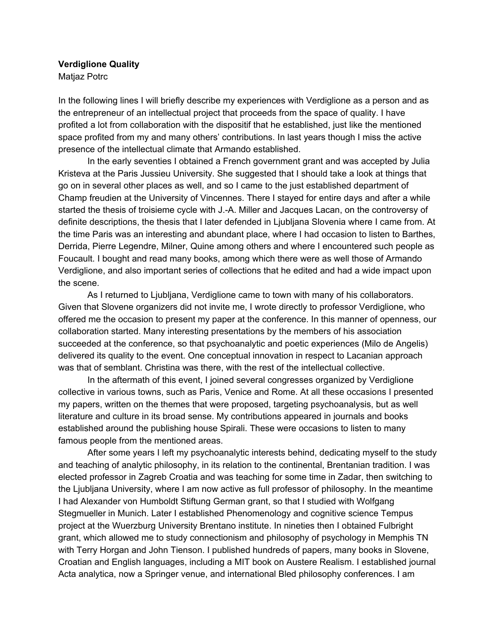## **Verdiglione Quality** Matjaz Potrc

In the following lines I will briefly describe my experiences with Verdiglione as a person and as the entrepreneur of an intellectual project that proceeds from the space of quality. I have profited a lot from collaboration with the dispositif that he established, just like the mentioned space profited from my and many others' contributions. In last years though I miss the active presence of the intellectual climate that Armando established.

In the early seventies I obtained a French government grant and was accepted by Julia Kristeva at the Paris Jussieu University. She suggested that I should take a look at things that go on in several other places as well, and so I came to the just established department of Champ freudien at the University of Vincennes. There I stayed for entire days and after a while started the thesis of troisieme cycle with J.-A. Miller and Jacques Lacan, on the controversy of definite descriptions, the thesis that I later defended in Ljubljana Slovenia where I came from. At the time Paris was an interesting and abundant place, where I had occasion to listen to Barthes, Derrida, Pierre Legendre, Milner, Quine among others and where I encountered such people as Foucault. I bought and read many books, among which there were as well those of Armando Verdiglione, and also important series of collections that he edited and had a wide impact upon the scene.

As I returned to Ljubljana, Verdiglione came to town with many of his collaborators. Given that Slovene organizers did not invite me, I wrote directly to professor Verdiglione, who offered me the occasion to present my paper at the conference. In this manner of openness, our collaboration started. Many interesting presentations by the members of his association succeeded at the conference, so that psychoanalytic and poetic experiences (Milo de Angelis) delivered its quality to the event. One conceptual innovation in respect to Lacanian approach was that of semblant. Christina was there, with the rest of the intellectual collective.

In the aftermath of this event, I joined several congresses organized by Verdiglione collective in various towns, such as Paris, Venice and Rome. At all these occasions I presented my papers, written on the themes that were proposed, targeting psychoanalysis, but as well literature and culture in its broad sense. My contributions appeared in journals and books established around the publishing house Spirali. These were occasions to listen to many famous people from the mentioned areas.

After some years I left my psychoanalytic interests behind, dedicating myself to the study and teaching of analytic philosophy, in its relation to the continental, Brentanian tradition. I was elected professor in Zagreb Croatia and was teaching for some time in Zadar, then switching to the Ljubljana University, where I am now active as full professor of philosophy. In the meantime I had Alexander von Humboldt Stiftung German grant, so that I studied with Wolfgang Stegmueller in Munich. Later I established Phenomenology and cognitive science Tempus project at the Wuerzburg University Brentano institute. In nineties then I obtained Fulbright grant, which allowed me to study connectionism and philosophy of psychology in Memphis TN with Terry Horgan and John Tienson. I published hundreds of papers, many books in Slovene, Croatian and English languages, including a MIT book on Austere Realism. I established journal Acta analytica, now a Springer venue, and international Bled philosophy conferences. I am